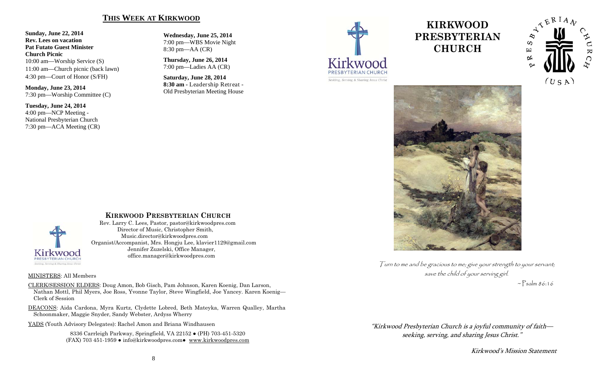#### **THIS WEEK AT KIRKWOOD**

**Sunday, June 22, 2014 Rev. Lees on vacation Pat Futato Guest Minister Church Picnic** 10:00 am—Worship Service (S) 11:00 am—Church picnic (back lawn) 4:30 pm—Court of Honor (S/FH)

**Monday, June 23, 2014**  7:30 pm—Worship Committee (C)

**Tuesday, June 24, 2014**  4:00 pm—NCP Meeting - National Presbyterian Church 7:30 pm—ACA Meeting (CR)

**Wednesday, June 25, 2014**  7:00 pm—WBS Movie Night 8:30 pm—AA (CR)

**Thursday, June 26, 2014**  7:00 pm—Ladies AA (CR)

**Saturday, June 28, 2014 8:30 am -** Leadership Retreat - Old Presbyterian Meeting House



# **KIRKWOOD PRESBYTERIAN CHURCH**





Turn to me and be gracious to me; give your strength to your servant; save the child of your serving girl.  $\sim$  Psalm 86:16

"Kirkwood Presbyterian Church is a joyful community of faith seeking, serving, and sharing Jesus Christ."

Kirkwood's Mission Statement



#### **KIRKWOOD PRESBYTERIAN CHURCH**

 Rev. Larry C. Lees, Pastor, pastor@kirkwoodpres.com Director of Music, Christopher Smith, Music.director@kirkwoodpres.com Organist/Accompanist, Mrs. Hongju Lee, klavier1129@gmail.com Jennifer Zuzelski, Office Manager, office.manager@kirkwoodpres.com

#### MINISTERS: All Members

CLERK/SESSION ELDERS: Doug Amon, Bob Gisch, Pam Johnson, Karen Koenig, Dan Larson, Nathan Mottl, Phil Myers, Joe Ross, Yvonne Taylor, Steve Wingfield, Joe Yancey. Karen Koenig— Clerk of Session

DEACONS: Aida Cardona, Myra Kurtz, Clydette Lobred, Beth Mateyka, Warren Qualley, Martha Schoonmaker, Maggie Snyder, Sandy Webster, Ardyss Wherry

YADS (Youth Advisory Delegates): Rachel Amon and Briana Windhausen

8336 Carrleigh Parkway, Springfield, VA 22152 ● (PH) 703-451-5320 (FAX) 703 451-1959 ● info@kirkwoodpres.com● www.kirkwoodpres.com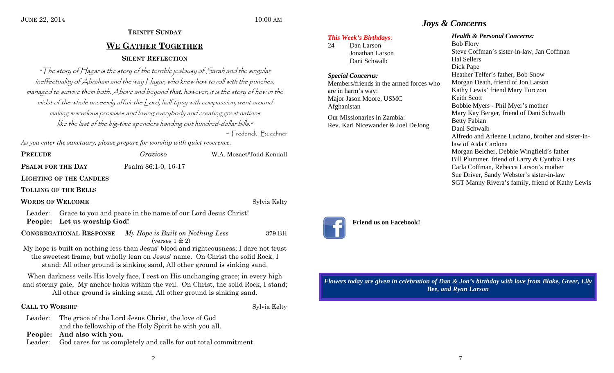# **TRINITY SUNDAYWE GATHER TOGETHERSILENT REFLECTION**

"The story of Hagar is the story of the terrible jealousy of Sarah and the singular ineffectuality of Abraham and the way Hagar, who knew how to roll with the punches, managed to survive them both. Above and beyond that, however, it is the story of how in the midst of the whole unseemly affair the Lord, half tipsy with compassion, went around making marvelous promises and loving everybody and creating great nations like the last of the big-time spenders handing out hundred-dollar bills."

~ Frederick Buechner

*As you enter the sanctuary, please prepare for worship with quiet reverence.* 

**PRELUDE**

*Grazioso* W.A. Mozaet/Todd Kendall

**PSALM FOR THE DAY Psalm 86:1-0, 16-17** 

**LIGHTING OF THE CANDLES**

**TOLLING OF THE BELLS**

**WORDS OF WELCOME**

Sylvia Kelty

Leader: Grace to you and peace in the name of our Lord Jesus Christ! **People: Let us worship God!** 

**CONGREGATIONAL RESPONSE** *My Hope is Built on Nothing Less* 379 BH (verses  $1 \& 2$ )

My hope is built on nothing less than Jesus' blood and righteousness; I dare not trust the sweetest frame, but wholly lean on Jesus' name. On Christ the solid Rock, I stand; All other ground is sinking sand, All other ground is sinking sand.

When darkness veils His lovely face, I rest on His unchanging grace; in every high and stormy gale, My anchor holds within the veil. On Christ, the solid Rock, I stand; All other ground is sinking sand, All other ground is sinking sand.

## **CALL TO**

**Sylvia Kelty** 

Leader: The grace of the Lord Jesus Christ, the love of God and the fellowship of the Holy Spirit be with you all.

**People: And also with you.** 

Leader: God cares for us completely and calls for out total commitment.

# *Joys & Concerns*

### *This Week's Birthdays*:

24 Dan Larson Jonathan Larson Dani Schwalb

#### *Special Concerns:*

Members/friends in the armed forces who are in harm's way: Major Jason Moore, USMC Afghanistan

Our Missionaries in Zambia: Rev. Kari Nicewander & Joel DeJong

#### *Health & Personal Concerns:*

Bob Flory Steve Coffman's sister-in-law, Jan Coffman Hal Sellers Dick Pape Heather Telfer's father, Bob Snow Morgan Death, friend of Jon Larson Kathy Lewis' friend Mary Torczon Keith Scott Bobbie Myers - Phil Myer's mother Mary Kay Berger, friend of Dani Schwalb Betty Fabian Dani Schwalb Alfredo and Arleene Luciano, brother and sister-inlaw of Aida Cardona Morgan Belcher, Debbie Wingfield's father Bill Plummer, friend of Larry & Cynthia Lees Carla Coffman, Rebecca Larson's mother Sue Driver, Sandy Webster's sister-in-law SGT Manny Rivera's family, friend of Kathy Lewis

# **Friend us on Facebook!**

*Flowers today are given in celebration of Dan & Jon's birthday with love from Blake, Greer, Lily Bee, and Ryan Larson*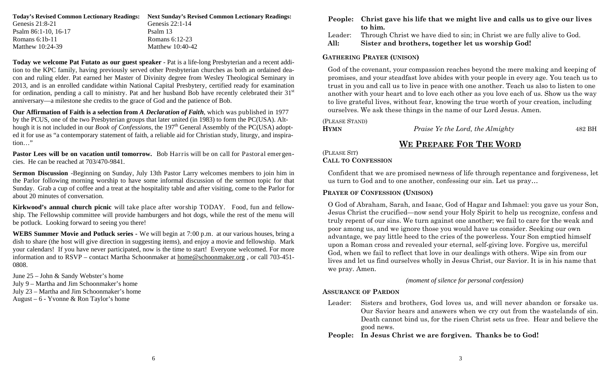| <b>Next Sunday's Revised Common Lectionary Readings:</b> |
|----------------------------------------------------------|
| Genesis $22:1-14$                                        |
| Psalm 13                                                 |
| Romans 6:12-23                                           |
| Matthew $10:40-42$                                       |
|                                                          |

**Today we welcome Pat Futato as our guest speaker** - Pat is a life-long Presbyterian and a recent addition to the KPC family, having previously served other Presbyterian churches as both an ordained deacon and ruling elder. Pat earned her Master of Divinity degree from Wesley Theological Seminary in 2013, and is an enrolled candidate within National Capital Presbytery, certified ready for examination for ordination, pending a call to ministry. Pat and her husband Bob have recently celebrated their  $31<sup>st</sup>$ anniversary—a milestone she credits to the grace of God and the patience of Bob.

**Our Affirmation of Faith is a selection from** *A Declaration of Faith*, which was published in 1977 by the PCUS, one of the two Presbyterian groups that later united (in 1983) to form the PC(USA). Although it is not included in our *Book of Confessions*, the 197<sup>th</sup> General Assembly of the PC(USA) adopted it for use as "a contemporary statement of faith, a reliable aid for Christian study, liturgy, and inspiration…"

**Pastor Lees will be on vacation until tomorrow.** Bob Harris will be on call for Pastoral emergencies. He can be reached at 703/470-9841.

**Sermon Discussion** -Beginning on Sunday, July 13th Pastor Larry welcomes members to join him in the Parlor following morning worship to have some informal discussion of the sermon topic for that Sunday. Grab a cup of coffee and a treat at the hospitality table and after visiting, come to the Parlor for about 20 minutes of conversation.

**Kirkwood's annual church picnic** will take place after worship TODAY. Food, fun and fellowship. The Fellowship committee will provide hamburgers and hot dogs, while the rest of the menu will be potluck. Looking forward to seeing you there!

**WEBS Summer Movie and Potluck series -** We will begin at 7:00 p.m. at our various houses, bring a dish to share (the host will give direction in suggesting items), and enjoy a movie and fellowship. Mark your calendars! If you have never participated, now is the time to start! Everyone welcomed. For more information and to RSVP – contact Martha Schoonmaker at home@schoonmaker.org , or call 703-451- 0808.

June 25 – John & Sandy Webster's home July 9 – Martha and Jim Schoonmaker's home July 23 – Martha and Jim Schoonmaker's home August – 6 - Yvonne & Ron Taylor's home

|         | People: Christ gave his life that we might live and calls us to give our lives<br>to him. |
|---------|-------------------------------------------------------------------------------------------|
| Leader: | Through Christ we have died to sin; in Christ we are fully alive to God.                  |
| All:    | Sister and brothers, together let us worship God!                                         |

#### **GATHERING PRAYER (UNISON)**

God of the covenant, your compassion reaches beyond the mere making and keeping of promises, and your steadfast love abides with your people in every age. You teach us to trust in you and call us to live in peace with one another. Teach us also to listen to one another with your heart and to love each other as you love each of us. Show us the way to live grateful lives, without fear, knowing the true worth of your creation, including ourselves. We ask these things in the name of our Lord Jesus. Amen.

(PLEASE STAND)

**HYMN**

*Praise Ye the Lord, the Almighty* 482 BH

# **WE PREPARE FOR THE WORD**

#### (PLEASE SIT) **CALL TO CONFESSION**

Confident that we are promised newness of life through repentance and forgiveness, let us turn to God and to one another, confessing our sin. Let us pray…

#### **PRAYER OF CONFESSION (UNISON)**

O God of Abraham, Sarah, and Isaac, God of Hagar and Ishmael: you gave us your Son, Jesus Christ the crucified—now send your Holy Spirit to help us recognize, confess and truly repent of our sins. We turn against one another; we fail to care for the weak and poor among us, and we ignore those you would have us consider. Seeking our own advantage, we pay little heed to the cries of the powerless. Your Son emptied himself upon a Roman cross and revealed your eternal, self-giving love. Forgive us, merciful God, when we fail to reflect that love in our dealings with others. Wipe sin from our lives and let us find ourselves wholly in Jesus Christ, our Savior. It is in his name that we pray. Amen.

*(moment of silence for personal confession)*

#### **ASSURANCE OF PARDON**

Leader: Sisters and brothers, God loves us, and will never abandon or forsake us. Our Savior hears and answers when we cry out from the wastelands of sin. Death cannot bind us, for the risen Christ sets us free. Hear and believe the good news.

#### **People: In Jesus Christ we are forgiven. Thanks be to God!**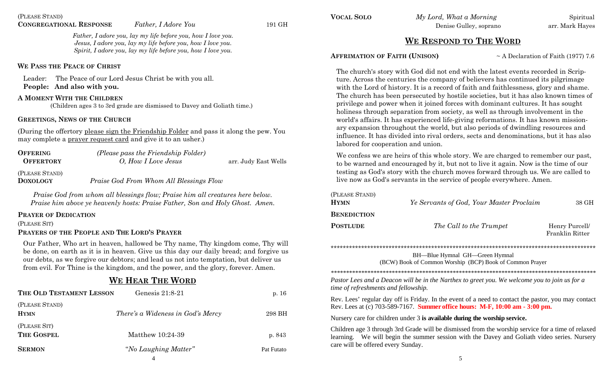*Father, I adore you, lay my life before you, how I love you. Jesus, I adore you, lay my life before you, how I love you. Spirit, I adore you, lay my life before you, how I love you.* 

#### **WE PASS THE PEACE OF CHRIST**

Leader: The Peace of our Lord Jesus Christ be with you all. **People: And also with you.**

#### **A MOMENT WITH THE CHILDREN**

(Children ages 3 to 3rd grade are dismissed to Davey and Goliath time.)

#### **GREETINGS, NEWS OF THE CHURCH**

(During the offertory please sign the Friendship Folder and pass it along the pew. You may complete a prayer request card and give it to an usher.)

| <b>OFFERING</b><br><b>OFFERTORY</b> | (Please pass the Friendship Folder)<br>O, How I Love Jesus | arr. Judy East Wells |
|-------------------------------------|------------------------------------------------------------|----------------------|
| (PLEASE STAND)<br><b>DOXOLOGY</b>   | Praise God From Whom All Blessings Flow                    |                      |

*Praise God from whom all blessings flow; Praise him all creatures here below. Praise him above ye heavenly hosts: Praise Father, Son and Holy Ghost. Amen.* 

#### **PRAYER OF DEDICATION**

(PLEASE SIT)

#### **PRAYERS OF THE PEOPLE AND THE LORD'S PRAYER**

Our Father, Who art in heaven, hallowed be Thy name, Thy kingdom come, Thy will be done, on earth as it is in heaven. Give us this day our daily bread; and forgive us our debts, as we forgive our debtors; and lead us not into temptation, but deliver us from evil. For Thine is the kingdom, and the power, and the glory, forever. Amen.

# **WE HEAR THE WORD**

| THE OLD TESTAMENT LESSON      | Genesis $21:8-21$                        | p. 16      |
|-------------------------------|------------------------------------------|------------|
| (PLEASE STAND)<br><b>HYMN</b> | <i>There's a Wideness in God's Mercy</i> | 298 BH     |
| (PLEASE SIT)<br>THE GOSPEL    | Matthew 10:24-39                         | p. 843     |
| <b>SERMON</b>                 | "No Laughing Matter"                     | Pat Futato |
|                               | 4                                        |            |

**VOCAL SOLO**

*My Lord, What a Morning* Spiritual Denise Gulley, soprano arr. Mark Hayes

# **WE RESPOND TO THE WORD**

#### **AFFRIMATION OF FAITH (UNISON)**

~ A Declaration of Faith (1977) 7.6

The church's story with God did not end with the latest events recorded in Scripture. Across the centuries the company of believers has continued its pilgrimage with the Lord of history. It is a record of faith and faithlessness, glory and shame. The church has been persecuted by hostile societies, but it has also known times of privilege and power when it joined forces with dominant cultures. It has sought holiness through separation from society, as well as through involvement in the world's affairs. It has experienced life-giving reformations. It has known missionary expansion throughout the world, but also periods of dwindling resources and influence. It has divided into rival orders, sects and denominations, but it has also labored for cooperation and union.

We confess we are heirs of this whole story. We are charged to remember our past, to be warned and encouraged by it, but not to live it again. Now is the time of our testing as God's story with the church moves forward through us. We are called to live now as God's servants in the service of people everywhere. Amen.

| (PLEASE STAND)<br>HYMN | Ye Servants of God, Your Master Proclaim | 38 GH                                    |
|------------------------|------------------------------------------|------------------------------------------|
| BENEDICTION            |                                          |                                          |
| POSTLUDE               | The Call to the Trumpet                  | Henry Purcell/<br><b>Franklin Ritter</b> |

\*\*\*\*\*\*\*\*\*\*\*\*\*\*\*\*\*\*\*\*\*\*\*\*\*\*\*\*\*\*\*\*\*\*\*\*\*\*\*\*\*\*\*\*\*\*\*\*\*\*\*\*\*\*\*\*\*\*\*\*\*\*\*\*\*\*\*\*\*\*\*\*\*\*\*\*\*\*\*\*\*\*\*\*\*\*\*

BH—Blue Hymnal GH—Green Hymnal (BCW) Book of Common Worship (BCP) Book of Common Prayer

*\*\*\*\*\*\*\*\*\*\*\*\*\*\*\*\*\*\*\*\*\*\*\*\*\*\*\*\*\*\*\*\*\*\*\*\*\*\*\*\*\*\*\*\*\*\*\*\*\*\*\*\*\*\*\*\*\*\*\*\*\*\*\*\*\*\*\*\*\*\*\*\*\*\*\*\*\*\*\*\*\*\*\*\*\*\*\** 

*Pastor Lees and a Deacon will be in the Narthex to greet you. We welcome you to join us for a time of refreshments and fellowship.*

Rev. Lees' regular day off is Friday. In the event of a need to contact the pastor, you may contact Rev. Lees at (c) 703-589-7167. **Summer office hours: M-F, 10:00 am - 3:00 pm.** 

Nursery care for children under 3 **is available during the worship service.** 

Children age 3 through 3rd Grade will be dismissed from the worship service for a time of relaxed learning. We will begin the summer session with the Davey and Goliath video series. Nursery care will be offered every Sunday.